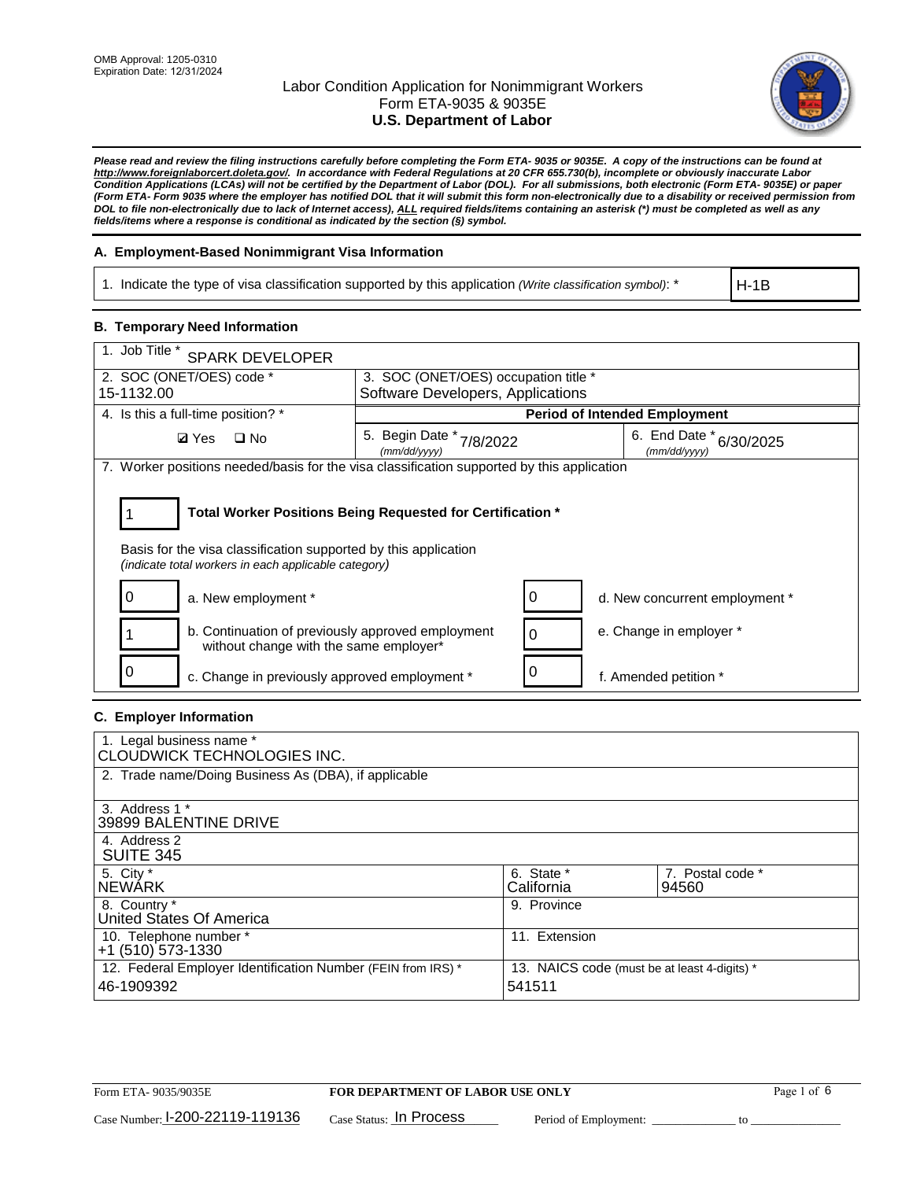

*Please read and review the filing instructions carefully before completing the Form ETA- 9035 or 9035E. A copy of the instructions can be found at [http://www.foreignlaborcert.doleta.gov/.](http://www.foreignlaborcert.doleta.gov/) In accordance with Federal Regulations at 20 CFR 655.730(b), incomplete or obviously inaccurate Labor Condition Applications (LCAs) will not be certified by the Department of Labor (DOL). For all submissions, both electronic (Form ETA- 9035E) or paper (Form ETA- Form 9035 where the employer has notified DOL that it will submit this form non-electronically due to a disability or received permission from DOL to file non-electronically due to lack of Internet access), ALL required fields/items containing an asterisk (\*) must be completed as well as any fields/items where a response is conditional as indicated by the section (§) symbol.* 

### **A. Employment-Based Nonimmigrant Visa Information**

1. Indicate the type of visa classification supported by this application *(Write classification symbol)*: \*

H-1B

### **B. Temporary Need Information**

| 1. Job Title *<br><b>SPARK DEVELOPER</b>                                                                                                                                              |                                             |                                         |  |  |  |
|---------------------------------------------------------------------------------------------------------------------------------------------------------------------------------------|---------------------------------------------|-----------------------------------------|--|--|--|
| 2. SOC (ONET/OES) code *                                                                                                                                                              | 3. SOC (ONET/OES) occupation title *        |                                         |  |  |  |
| 15-1132.00                                                                                                                                                                            | Software Developers, Applications           |                                         |  |  |  |
| 4. Is this a full-time position? *                                                                                                                                                    |                                             | <b>Period of Intended Employment</b>    |  |  |  |
| $\Box$ No<br><b>Ø</b> Yes                                                                                                                                                             | 5. Begin Date *<br>7/8/2022<br>(mm/dd/yyyy) | 6. End Date * 6/30/2025<br>(mm/dd/vvvv) |  |  |  |
| 7. Worker positions needed/basis for the visa classification supported by this application                                                                                            |                                             |                                         |  |  |  |
| Total Worker Positions Being Requested for Certification *<br>Basis for the visa classification supported by this application<br>(indicate total workers in each applicable category) |                                             |                                         |  |  |  |
| 0<br>a. New employment *                                                                                                                                                              | 0                                           | d. New concurrent employment *          |  |  |  |
| b. Continuation of previously approved employment<br>without change with the same employer*                                                                                           | 0                                           | e. Change in employer *                 |  |  |  |
| c. Change in previously approved employment *                                                                                                                                         |                                             | f. Amended petition *                   |  |  |  |

#### **C. Employer Information**

| 1. Legal business name *<br>CLOUDWICK TECHNOLOGIES INC.                    |                                                        |                           |
|----------------------------------------------------------------------------|--------------------------------------------------------|---------------------------|
| 2. Trade name/Doing Business As (DBA), if applicable                       |                                                        |                           |
| 3. Address 1 *<br>39899 BALENTINE DRIVE                                    |                                                        |                           |
| 4. Address 2<br><b>SUITE 345</b>                                           |                                                        |                           |
| 5. City *<br><b>NEWARK</b>                                                 | 6. State *<br>California                               | 7. Postal code *<br>94560 |
| 8. Country *<br>United States Of America                                   | 9. Province                                            |                           |
| 10. Telephone number *<br>$+1$ (510) 573-1330                              | 11. Extension                                          |                           |
| 12. Federal Employer Identification Number (FEIN from IRS) *<br>46-1909392 | 13. NAICS code (must be at least 4-digits) *<br>541511 |                           |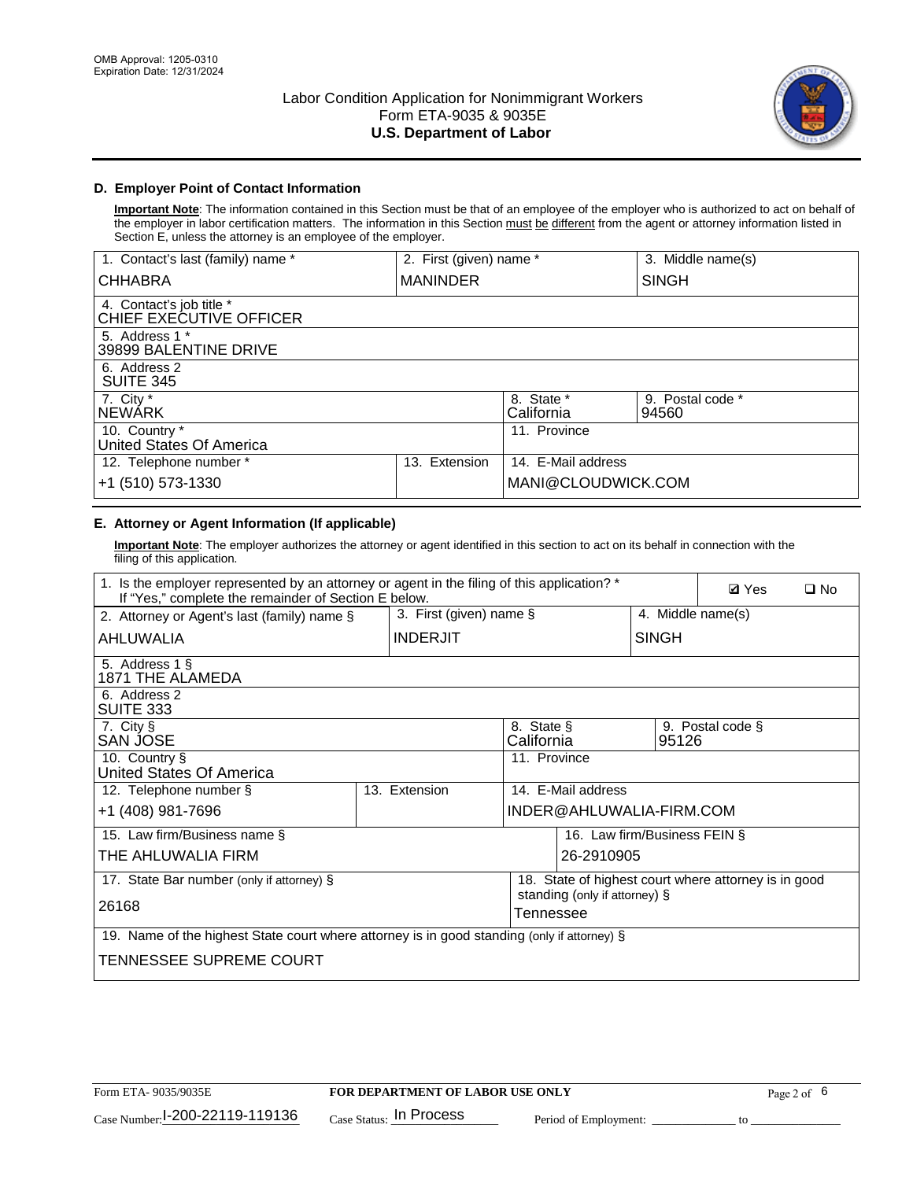

## **D. Employer Point of Contact Information**

**Important Note**: The information contained in this Section must be that of an employee of the employer who is authorized to act on behalf of the employer in labor certification matters. The information in this Section must be different from the agent or attorney information listed in Section E, unless the attorney is an employee of the employer.

| 1. Contact's last (family) name *                   | 2. First (given) name * |                          | 3. Middle name(s)         |
|-----------------------------------------------------|-------------------------|--------------------------|---------------------------|
| <b>CHHABRA</b>                                      | <b>MANINDER</b>         |                          | <b>SINGH</b>              |
| 4. Contact's job title *<br>CHIEF EXECUTIVE OFFICER |                         |                          |                           |
| 5. Address 1 *<br>39899 BALENTINE DRIVE             |                         |                          |                           |
| 6. Address 2<br><b>SUITE 345</b>                    |                         |                          |                           |
| 7. City $*$<br><b>NEWÁRK</b>                        |                         | 8. State *<br>California | 9. Postal code *<br>94560 |
| 10. Country *<br>United States Of America           |                         | 11. Province             |                           |
| 12. Telephone number *                              | Extension<br>13.        | 14. E-Mail address       |                           |
| +1 (510) 573-1330                                   |                         | MANI@CLOUDWICK.COM       |                           |

# **E. Attorney or Agent Information (If applicable)**

**Important Note**: The employer authorizes the attorney or agent identified in this section to act on its behalf in connection with the filing of this application.

| 1. Is the employer represented by an attorney or agent in the filing of this application? *<br>If "Yes," complete the remainder of Section E below. |               |                 |                          |                               | <b>Ø</b> Yes | $\Box$ No                                            |  |
|-----------------------------------------------------------------------------------------------------------------------------------------------------|---------------|-----------------|--------------------------|-------------------------------|--------------|------------------------------------------------------|--|
| 3. First (given) name $\S$<br>2. Attorney or Agent's last (family) name §                                                                           |               |                 | 4. Middle name(s)        |                               |              |                                                      |  |
| AHLUWALIA                                                                                                                                           |               | <b>INDERJIT</b> |                          |                               | <b>SINGH</b> |                                                      |  |
| 5. Address 1 §<br>1871 THE ALAMEDA                                                                                                                  |               |                 |                          |                               |              |                                                      |  |
| 6. Address 2<br>SUITE 333                                                                                                                           |               |                 |                          |                               |              |                                                      |  |
| 7. City §<br>SAN JOSE                                                                                                                               |               |                 | 8. State §<br>California |                               | 95126        | 9. Postal code §                                     |  |
| 10. Country §<br>United States Of America                                                                                                           |               |                 | 11. Province             |                               |              |                                                      |  |
| 12. Telephone number §                                                                                                                              | 13. Extension |                 |                          | 14. E-Mail address            |              |                                                      |  |
| +1 (408) 981-7696                                                                                                                                   |               |                 |                          | INDER@AHLUWALIA-FIRM.COM      |              |                                                      |  |
| 15. Law firm/Business name §                                                                                                                        |               |                 |                          | 16. Law firm/Business FEIN §  |              |                                                      |  |
| THE AHLUWALIA FIRM                                                                                                                                  |               |                 |                          | 26-2910905                    |              |                                                      |  |
| 17. State Bar number (only if attorney) §                                                                                                           |               |                 |                          |                               |              | 18. State of highest court where attorney is in good |  |
| 26168                                                                                                                                               |               |                 | Tennessee                | standing (only if attorney) § |              |                                                      |  |
| 19. Name of the highest State court where attorney is in good standing (only if attorney) §                                                         |               |                 |                          |                               |              |                                                      |  |
| TENNESSEE SUPREME COURT                                                                                                                             |               |                 |                          |                               |              |                                                      |  |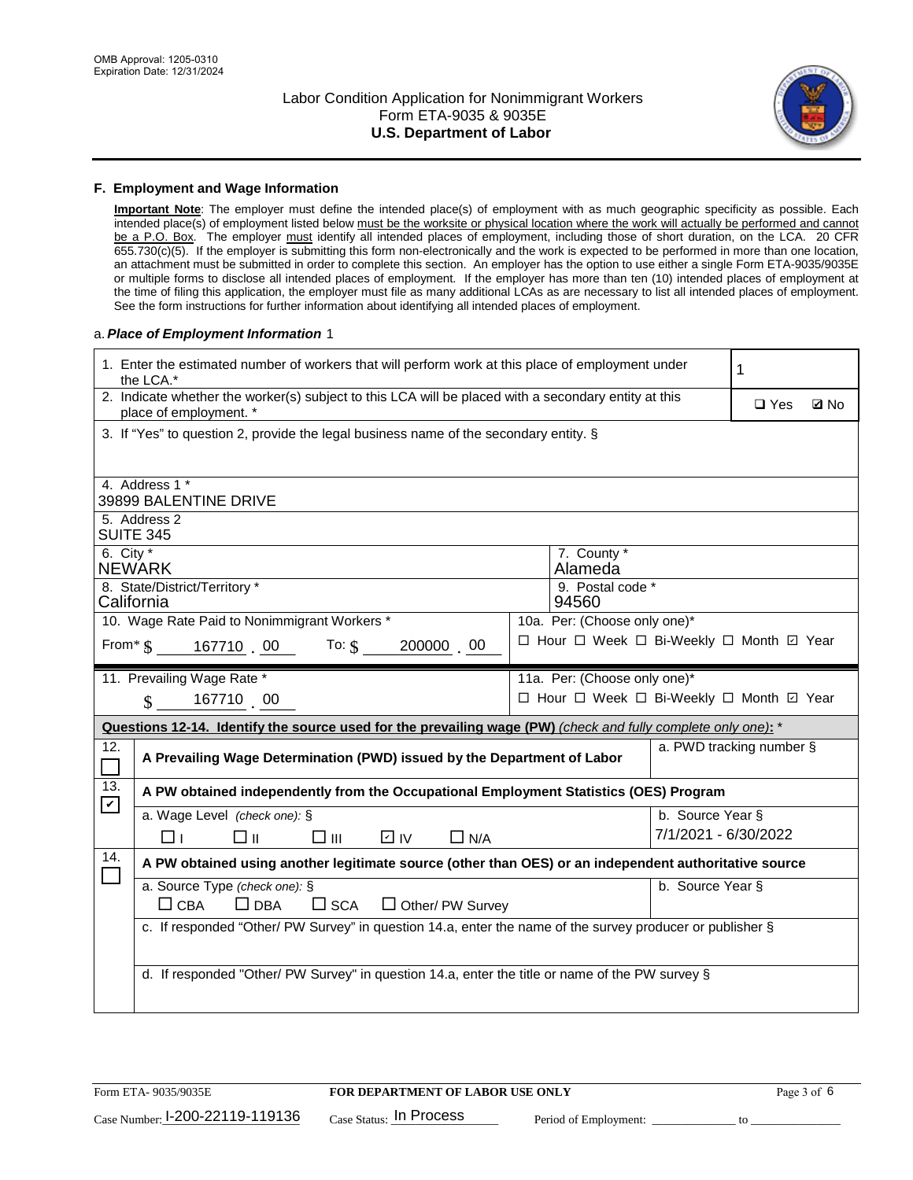

#### **F. Employment and Wage Information**

**Important Note**: The employer must define the intended place(s) of employment with as much geographic specificity as possible. Each intended place(s) of employment listed below must be the worksite or physical location where the work will actually be performed and cannot be a P.O. Box. The employer must identify all intended places of employment, including those of short duration, on the LCA. 20 CFR 655.730(c)(5). If the employer is submitting this form non-electronically and the work is expected to be performed in more than one location, an attachment must be submitted in order to complete this section. An employer has the option to use either a single Form ETA-9035/9035E or multiple forms to disclose all intended places of employment. If the employer has more than ten (10) intended places of employment at the time of filing this application, the employer must file as many additional LCAs as are necessary to list all intended places of employment. See the form instructions for further information about identifying all intended places of employment.

#### a.*Place of Employment Information* 1

| 1. Enter the estimated number of workers that will perform work at this place of employment under<br>the LCA.* | 1                                                                                                                              |                                                                                                 |                                          |                              |  |  |  |
|----------------------------------------------------------------------------------------------------------------|--------------------------------------------------------------------------------------------------------------------------------|-------------------------------------------------------------------------------------------------|------------------------------------------|------------------------------|--|--|--|
|                                                                                                                | 2. Indicate whether the worker(s) subject to this LCA will be placed with a secondary entity at this<br>place of employment. * |                                                                                                 |                                          | $\square$ Yes<br><b>Z</b> No |  |  |  |
|                                                                                                                | 3. If "Yes" to question 2, provide the legal business name of the secondary entity. §                                          |                                                                                                 |                                          |                              |  |  |  |
|                                                                                                                | 4. Address 1 *                                                                                                                 |                                                                                                 |                                          |                              |  |  |  |
|                                                                                                                | 39899 BALENTINE DRIVE                                                                                                          |                                                                                                 |                                          |                              |  |  |  |
|                                                                                                                | 5. Address 2<br><b>SUITE 345</b>                                                                                               |                                                                                                 |                                          |                              |  |  |  |
| 6. City $*$                                                                                                    | <b>NEWARK</b>                                                                                                                  |                                                                                                 | 7. County *<br>Alameda                   |                              |  |  |  |
|                                                                                                                | 8. State/District/Territory *<br>California                                                                                    |                                                                                                 | 9. Postal code *<br>94560                |                              |  |  |  |
| 10. Wage Rate Paid to Nonimmigrant Workers *<br>10a. Per: (Choose only one)*                                   |                                                                                                                                |                                                                                                 |                                          |                              |  |  |  |
|                                                                                                                | □ Hour □ Week □ Bi-Weekly □ Month ☑ Year<br>From* \$167710 00 To: \$<br>200000 00                                              |                                                                                                 |                                          |                              |  |  |  |
|                                                                                                                | 11. Prevailing Wage Rate *                                                                                                     |                                                                                                 | 11a. Per: (Choose only one)*             |                              |  |  |  |
|                                                                                                                | 167710 00<br>$\mathbb{S}$                                                                                                      |                                                                                                 | □ Hour □ Week □ Bi-Weekly □ Month ☑ Year |                              |  |  |  |
|                                                                                                                | Questions 12-14. Identify the source used for the prevailing wage (PW) (check and fully complete only one): *                  |                                                                                                 |                                          |                              |  |  |  |
| 12.<br>$\Box$                                                                                                  | A Prevailing Wage Determination (PWD) issued by the Department of Labor                                                        |                                                                                                 |                                          | a. PWD tracking number §     |  |  |  |
| 13.                                                                                                            | A PW obtained independently from the Occupational Employment Statistics (OES) Program                                          |                                                                                                 |                                          |                              |  |  |  |
| $\mathbf v$                                                                                                    | a. Wage Level (check one): §                                                                                                   |                                                                                                 | b. Source Year §                         |                              |  |  |  |
|                                                                                                                | □ ॥<br>$\square$ $\square$<br>⊡ IV<br>□⊥<br>$\Box$ N/A                                                                         |                                                                                                 | 7/1/2021 - 6/30/2022                     |                              |  |  |  |
| 14.                                                                                                            | A PW obtained using another legitimate source (other than OES) or an independent authoritative source                          |                                                                                                 |                                          |                              |  |  |  |
|                                                                                                                | a. Source Type (check one): §<br>$\Box$ CBA<br>$\Box$ DBA<br>$\square$ SCA<br>$\Box$ Other/ PW Survey                          |                                                                                                 | b. Source Year §                         |                              |  |  |  |
|                                                                                                                | c. If responded "Other/ PW Survey" in question 14.a, enter the name of the survey producer or publisher §                      |                                                                                                 |                                          |                              |  |  |  |
|                                                                                                                |                                                                                                                                |                                                                                                 |                                          |                              |  |  |  |
|                                                                                                                |                                                                                                                                | d. If responded "Other/ PW Survey" in question 14.a, enter the title or name of the PW survey § |                                          |                              |  |  |  |
|                                                                                                                |                                                                                                                                |                                                                                                 |                                          |                              |  |  |  |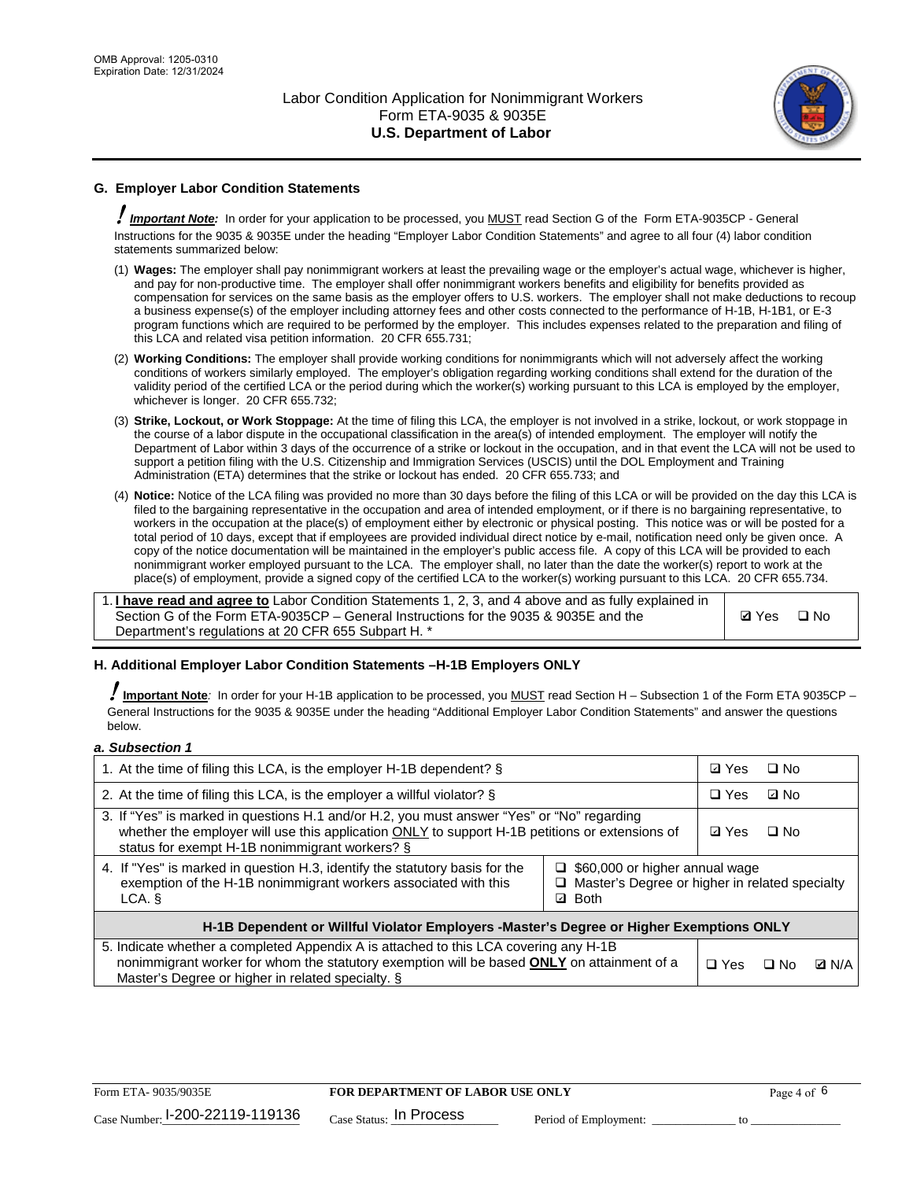

## **G. Employer Labor Condition Statements**

! *Important Note:* In order for your application to be processed, you MUST read Section G of the Form ETA-9035CP - General Instructions for the 9035 & 9035E under the heading "Employer Labor Condition Statements" and agree to all four (4) labor condition statements summarized below:

- (1) **Wages:** The employer shall pay nonimmigrant workers at least the prevailing wage or the employer's actual wage, whichever is higher, and pay for non-productive time. The employer shall offer nonimmigrant workers benefits and eligibility for benefits provided as compensation for services on the same basis as the employer offers to U.S. workers. The employer shall not make deductions to recoup a business expense(s) of the employer including attorney fees and other costs connected to the performance of H-1B, H-1B1, or E-3 program functions which are required to be performed by the employer. This includes expenses related to the preparation and filing of this LCA and related visa petition information. 20 CFR 655.731;
- (2) **Working Conditions:** The employer shall provide working conditions for nonimmigrants which will not adversely affect the working conditions of workers similarly employed. The employer's obligation regarding working conditions shall extend for the duration of the validity period of the certified LCA or the period during which the worker(s) working pursuant to this LCA is employed by the employer, whichever is longer. 20 CFR 655.732;
- (3) **Strike, Lockout, or Work Stoppage:** At the time of filing this LCA, the employer is not involved in a strike, lockout, or work stoppage in the course of a labor dispute in the occupational classification in the area(s) of intended employment. The employer will notify the Department of Labor within 3 days of the occurrence of a strike or lockout in the occupation, and in that event the LCA will not be used to support a petition filing with the U.S. Citizenship and Immigration Services (USCIS) until the DOL Employment and Training Administration (ETA) determines that the strike or lockout has ended. 20 CFR 655.733; and
- (4) **Notice:** Notice of the LCA filing was provided no more than 30 days before the filing of this LCA or will be provided on the day this LCA is filed to the bargaining representative in the occupation and area of intended employment, or if there is no bargaining representative, to workers in the occupation at the place(s) of employment either by electronic or physical posting. This notice was or will be posted for a total period of 10 days, except that if employees are provided individual direct notice by e-mail, notification need only be given once. A copy of the notice documentation will be maintained in the employer's public access file. A copy of this LCA will be provided to each nonimmigrant worker employed pursuant to the LCA. The employer shall, no later than the date the worker(s) report to work at the place(s) of employment, provide a signed copy of the certified LCA to the worker(s) working pursuant to this LCA. 20 CFR 655.734.

1. **I have read and agree to** Labor Condition Statements 1, 2, 3, and 4 above and as fully explained in Section G of the Form ETA-9035CP – General Instructions for the 9035 & 9035E and the Department's regulations at 20 CFR 655 Subpart H. \*

**Ø**Yes ロNo

#### **H. Additional Employer Labor Condition Statements –H-1B Employers ONLY**

!**Important Note***:* In order for your H-1B application to be processed, you MUST read Section H – Subsection 1 of the Form ETA 9035CP – General Instructions for the 9035 & 9035E under the heading "Additional Employer Labor Condition Statements" and answer the questions below.

#### *a. Subsection 1*

| 1. At the time of filing this LCA, is the employer H-1B dependent? §                                                                                                                                                                                                      |  | ⊡ Yes | □ No      |              |
|---------------------------------------------------------------------------------------------------------------------------------------------------------------------------------------------------------------------------------------------------------------------------|--|-------|-----------|--------------|
| 2. At the time of filing this LCA, is the employer a willful violator? $\S$                                                                                                                                                                                               |  |       | ⊡ No      |              |
| 3. If "Yes" is marked in questions H.1 and/or H.2, you must answer "Yes" or "No" regarding<br>whether the employer will use this application ONLY to support H-1B petitions or extensions of<br>status for exempt H-1B nonimmigrant workers? §                            |  |       | $\Box$ No |              |
| 4. If "Yes" is marked in question H.3, identify the statutory basis for the<br>$\Box$ \$60,000 or higher annual wage<br>exemption of the H-1B nonimmigrant workers associated with this<br>□ Master's Degree or higher in related specialty<br><b>Both</b><br>LCA. §<br>☑ |  |       |           |              |
| H-1B Dependent or Willful Violator Employers -Master's Degree or Higher Exemptions ONLY                                                                                                                                                                                   |  |       |           |              |
| 5. Indicate whether a completed Appendix A is attached to this LCA covering any H-1B<br>nonimmigrant worker for whom the statutory exemption will be based <b>ONLY</b> on attainment of a<br>Master's Degree or higher in related specialty. §                            |  |       | ⊟ No      | <b>D</b> N/A |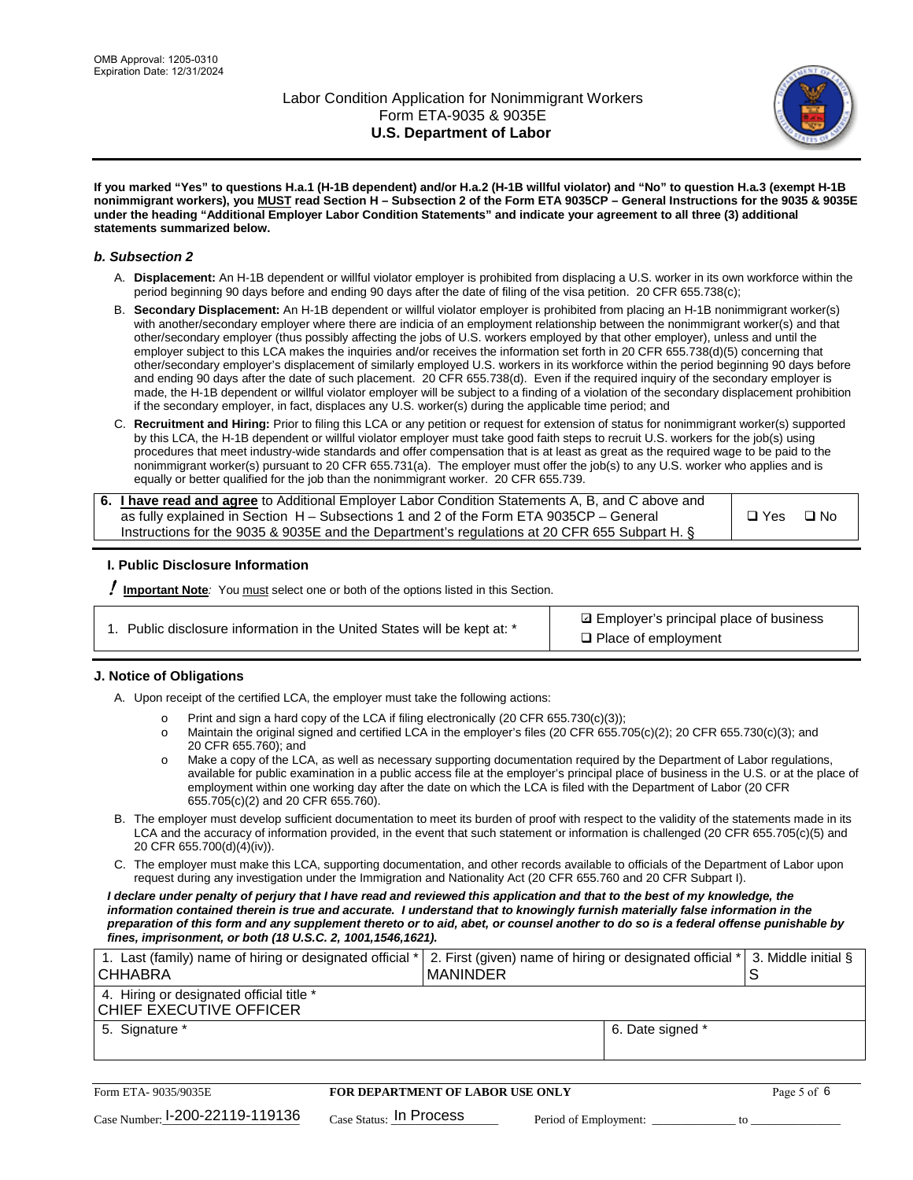

**If you marked "Yes" to questions H.a.1 (H-1B dependent) and/or H.a.2 (H-1B willful violator) and "No" to question H.a.3 (exempt H-1B nonimmigrant workers), you MUST read Section H – Subsection 2 of the Form ETA 9035CP – General Instructions for the 9035 & 9035E under the heading "Additional Employer Labor Condition Statements" and indicate your agreement to all three (3) additional statements summarized below.**

#### *b. Subsection 2*

- A. **Displacement:** An H-1B dependent or willful violator employer is prohibited from displacing a U.S. worker in its own workforce within the period beginning 90 days before and ending 90 days after the date of filing of the visa petition. 20 CFR 655.738(c);
- B. **Secondary Displacement:** An H-1B dependent or willful violator employer is prohibited from placing an H-1B nonimmigrant worker(s) with another/secondary employer where there are indicia of an employment relationship between the nonimmigrant worker(s) and that other/secondary employer (thus possibly affecting the jobs of U.S. workers employed by that other employer), unless and until the employer subject to this LCA makes the inquiries and/or receives the information set forth in 20 CFR 655.738(d)(5) concerning that other/secondary employer's displacement of similarly employed U.S. workers in its workforce within the period beginning 90 days before and ending 90 days after the date of such placement. 20 CFR 655.738(d). Even if the required inquiry of the secondary employer is made, the H-1B dependent or willful violator employer will be subject to a finding of a violation of the secondary displacement prohibition if the secondary employer, in fact, displaces any U.S. worker(s) during the applicable time period; and
- C. **Recruitment and Hiring:** Prior to filing this LCA or any petition or request for extension of status for nonimmigrant worker(s) supported by this LCA, the H-1B dependent or willful violator employer must take good faith steps to recruit U.S. workers for the job(s) using procedures that meet industry-wide standards and offer compensation that is at least as great as the required wage to be paid to the nonimmigrant worker(s) pursuant to 20 CFR 655.731(a). The employer must offer the job(s) to any U.S. worker who applies and is equally or better qualified for the job than the nonimmigrant worker. 20 CFR 655.739.

| 6. I have read and agree to Additional Employer Labor Condition Statements A, B, and C above and |       |           |
|--------------------------------------------------------------------------------------------------|-------|-----------|
| as fully explained in Section H – Subsections 1 and 2 of the Form ETA 9035CP – General           | □ Yes | $\Box$ No |
| Instructions for the 9035 & 9035E and the Department's regulations at 20 CFR 655 Subpart H. §    |       |           |

#### **I. Public Disclosure Information**

! **Important Note***:* You must select one or both of the options listed in this Section.

| 1. Public disclosure information in the United States will be kept at: * |
|--------------------------------------------------------------------------|
|--------------------------------------------------------------------------|

**sqrt** Employer's principal place of business □ Place of employment

#### **J. Notice of Obligations**

A. Upon receipt of the certified LCA, the employer must take the following actions:

- o Print and sign a hard copy of the LCA if filing electronically (20 CFR 655.730(c)(3));<br>
Maintain the original signed and certified LCA in the employer's files (20 CFR 655.7
- Maintain the original signed and certified LCA in the employer's files (20 CFR 655.705(c)(2); 20 CFR 655.730(c)(3); and 20 CFR 655.760); and
- o Make a copy of the LCA, as well as necessary supporting documentation required by the Department of Labor regulations, available for public examination in a public access file at the employer's principal place of business in the U.S. or at the place of employment within one working day after the date on which the LCA is filed with the Department of Labor (20 CFR 655.705(c)(2) and 20 CFR 655.760).
- B. The employer must develop sufficient documentation to meet its burden of proof with respect to the validity of the statements made in its LCA and the accuracy of information provided, in the event that such statement or information is challenged (20 CFR 655.705(c)(5) and 20 CFR 655.700(d)(4)(iv)).
- C. The employer must make this LCA, supporting documentation, and other records available to officials of the Department of Labor upon request during any investigation under the Immigration and Nationality Act (20 CFR 655.760 and 20 CFR Subpart I).

*I declare under penalty of perjury that I have read and reviewed this application and that to the best of my knowledge, the*  information contained therein is true and accurate. I understand that to knowingly furnish materially false information in the *preparation of this form and any supplement thereto or to aid, abet, or counsel another to do so is a federal offense punishable by fines, imprisonment, or both (18 U.S.C. 2, 1001,1546,1621).*

| 1. Last (family) name of hiring or designated official * 2. First (given) name of hiring or designated official * 3. Middle initial §<br><b>CHHABRA</b> | I MANINDER |                  |  |
|---------------------------------------------------------------------------------------------------------------------------------------------------------|------------|------------------|--|
| 4. Hiring or designated official title *<br>CHIEF EXECUTIVE OFFICER                                                                                     |            |                  |  |
| 5. Signature *                                                                                                                                          |            | 6. Date signed * |  |